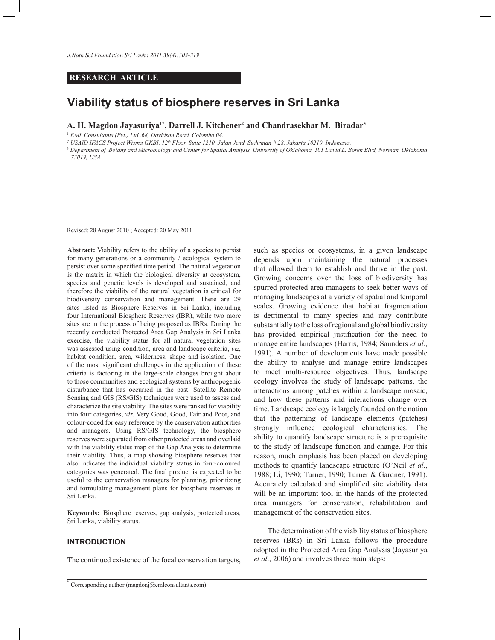# **RESEARCH ARTICLE**

# **Viability status of biosphere reserves in Sri Lanka**

**A. H. Magdon Jayasuriya1\*, Darrell J. Kitchener<sup>2</sup> and Chandrasekhar M. Biradar<sup>3</sup>**

<sup>1</sup> *EML Consultants (Pvt.) Ltd.,68, Davidson Road, Colombo 04.*

*2 USAID IFACS Project Wisma GKBI, 12th Floor, Suite 1210, Jalan Jend, Sudirman # 28, Jakarta 10210, Indonesia.*

<sup>3</sup> *Department of Botany and Microbiology and Center for Spatial Analysis, University of Oklahoma, 101 David L. Boren Blvd, Norman, Oklahoma 73019, USA.*

Revised: 28 August 2010 ; Accepted: 20 May 2011

**Abstract:** Viability refers to the ability of a species to persist for many generations or a community / ecological system to persist over some specified time period. The natural vegetation is the matrix in which the biological diversity at ecosystem, species and genetic levels is developed and sustained, and therefore the viability of the natural vegetation is critical for biodiversity conservation and management. There are 29 sites listed as Biosphere Reserves in Sri Lanka, including four International Biosphere Reserves (IBR), while two more sites are in the process of being proposed as IBRs. During the recently conducted Protected Area Gap Analysis in Sri Lanka exercise, the viability status for all natural vegetation sites was assessed using condition, area and landscape criteria, *viz*, habitat condition, area, wilderness, shape and isolation. One of the most significant challenges in the application of these criteria is factoring in the large-scale changes brought about to those communities and ecological systems by anthropogenic disturbance that has occurred in the past. Satellite Remote Sensing and GIS (RS/GIS) techniques were used to assess and characterize the site viability. The sites were ranked for viability into four categories, *viz*. Very Good, Good, Fair and Poor, and colour-coded for easy reference by the conservation authorities and managers. Using RS/GIS technology, the biosphere reserves were separated from other protected areas and overlaid with the viability status map of the Gap Analysis to determine their viability. Thus, a map showing biosphere reserves that also indicates the individual viability status in four-coloured categories was generated. The final product is expected to be useful to the conservation managers for planning, prioritizing and formulating management plans for biosphere reserves in Sri Lanka.

**Keywords:** Biosphere reserves, gap analysis, protected areas, Sri Lanka, viability status.

# **INTRODUCTION**

The continued existence of the focal conservation targets,

\* Corresponding author (magdonj@emlconsultants.com)

such as species or ecosystems, in a given landscape depends upon maintaining the natural processes that allowed them to establish and thrive in the past. Growing concerns over the loss of biodiversity has spurred protected area managers to seek better ways of managing landscapes at a variety of spatial and temporal scales. Growing evidence that habitat fragmentation is detrimental to many species and may contribute substantially to the loss of regional and global biodiversity has provided empirical justification for the need to manage entire landscapes (Harris, 1984; Saunders *et al*., 1991). A number of developments have made possible the ability to analyse and manage entire landscapes to meet multi-resource objectives. Thus, landscape ecology involves the study of landscape patterns, the interactions among patches within a landscape mosaic, and how these patterns and interactions change over time. Landscape ecology is largely founded on the notion that the patterning of landscape elements (patches) strongly influence ecological characteristics. The ability to quantify landscape structure is a prerequisite to the study of landscape function and change. For this reason, much emphasis has been placed on developing methods to quantify landscape structure (O'Neil *et al*., 1988; Li, 1990; Turner, 1990; Turner & Gardner, 1991). Accurately calculated and simplified site viability data will be an important tool in the hands of the protected area managers for conservation, rehabilitation and management of the conservation sites.

 The determination of the viability status of biosphere reserves (BRs) in Sri Lanka follows the procedure adopted in the Protected Area Gap Analysis (Jayasuriya *et al*., 2006) and involves three main steps: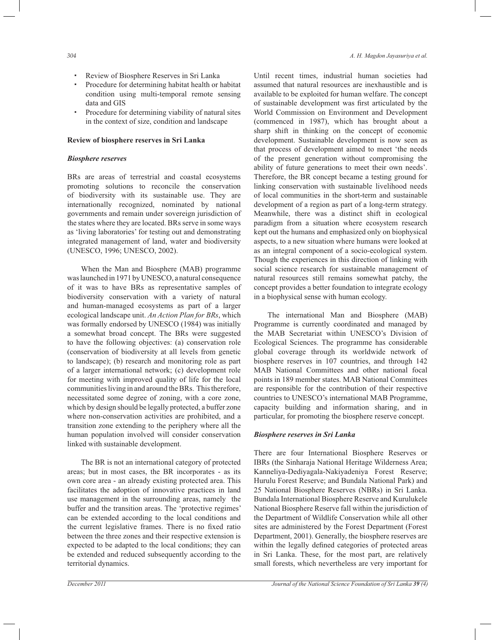- † Review of Biosphere Reserves in Sri Lanka
- † Procedure for determining habitat health or habitat condition using multi-temporal remote sensing data and GIS
- † Procedure for determining viability of natural sites in the context of size, condition and landscape

#### **Review of biosphere reserves in Sri Lanka**

## *Biosphere reserves*

BRs are areas of terrestrial and coastal ecosystems promoting solutions to reconcile the conservation of biodiversity with its sustainable use. They are internationally recognized, nominated by national governments and remain under sovereign jurisdiction of the states where they are located. BRs serve in some ways as 'living laboratories' for testing out and demonstrating integrated management of land, water and biodiversity (UNESCO, 1996; UNESCO, 2002).

 When the Man and Biosphere (MAB) programme was launched in 1971 by UNESCO, a natural consequence of it was to have BRs as representative samples of biodiversity conservation with a variety of natural and human-managed ecosystems as part of a larger ecological landscape unit. *An Action Plan for BRs*, which was formally endorsed by UNESCO (1984) was initially a somewhat broad concept. The BRs were suggested to have the following objectives: (a) conservation role (conservation of biodiversity at all levels from genetic to landscape); (b) research and monitoring role as part of a larger international network; (c) development role for meeting with improved quality of life for the local communities living in and around the BRs. This therefore, necessitated some degree of zoning, with a core zone, which by design should be legally protected, a buffer zone where non-conservation activities are prohibited, and a transition zone extending to the periphery where all the human population involved will consider conservation linked with sustainable development.

 The BR is not an international category of protected areas; but in most cases, the BR incorporates - as its own core area - an already existing protected area. This facilitates the adoption of innovative practices in land use management in the surrounding areas, namely the buffer and the transition areas. The 'protective regimes' can be extended according to the local conditions and the current legislative frames. There is no fixed ratio between the three zones and their respective extension is expected to be adapted to the local conditions; they can be extended and reduced subsequently according to the territorial dynamics.

Until recent times, industrial human societies had assumed that natural resources are inexhaustible and is available to be exploited for human welfare. The concept of sustainable development was first articulated by the World Commission on Environment and Development (commenced in 1987), which has brought about a sharp shift in thinking on the concept of economic development. Sustainable development is now seen as that process of development aimed to meet 'the needs of the present generation without compromising the ability of future generations to meet their own needs'. Therefore, the BR concept became a testing ground for linking conservation with sustainable livelihood needs of local communities in the short-term and sustainable development of a region as part of a long-term strategy. Meanwhile, there was a distinct shift in ecological paradigm from a situation where ecosystem research kept out the humans and emphasized only on biophysical aspects, to a new situation where humans were looked at as an integral component of a socio-ecological system. Though the experiences in this direction of linking with social science research for sustainable management of natural resources still remains somewhat patchy, the concept provides a better foundation to integrate ecology in a biophysical sense with human ecology.

 The international Man and Biosphere (MAB) Programme is currently coordinated and managed by the MAB Secretariat within UNESCO's Division of Ecological Sciences. The programme has considerable global coverage through its worldwide network of biosphere reserves in 107 countries, and through 142 MAB National Committees and other national focal points in 189 member states. MAB National Committees are responsible for the contribution of their respective countries to UNESCO's international MAB Programme, capacity building and information sharing, and in particular, for promoting the biosphere reserve concept.

#### *Biosphere reserves in Sri Lanka*

There are four International Biosphere Reserves or IBRs (the Sinharaja National Heritage Wilderness Area; Kanneliya-Dediyagala-Nakiyadeniya Forest Reserve; Hurulu Forest Reserve; and Bundala National Park) and 25 National Biosphere Reserves (NBRs) in Sri Lanka. Bundala International Biosphere Reserve and Kurulukele National Biosphere Reserve fall within the jurisdiction of the Department of Wildlife Conservation while all other sites are administered by the Forest Department (Forest Department, 2001). Generally, the biosphere reserves are within the legally defined categories of protected areas in Sri Lanka. These, for the most part, are relatively small forests, which nevertheless are very important for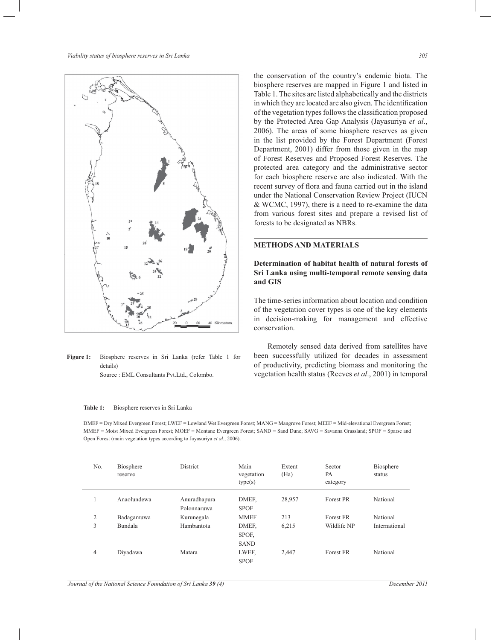

**Figure 1:** Biosphere reserves in Sri Lanka (refer Table 1 for details)

Source : EML Consultants Pvt.Ltd., Colombo.

#### **Table 1:** Biosphere reserves in Sri Lanka

the conservation of the country's endemic biota. The biosphere reserves are mapped in Figure 1 and listed in Table 1. The sites are listed alphabetically and the districts in which they are located are also given. The identification of the vegetation types follows the classification proposed by the Protected Area Gap Analysis (Jayasuriya *et al*., 2006). The areas of some biosphere reserves as given in the list provided by the Forest Department (Forest Department, 2001) differ from those given in the map of Forest Reserves and Proposed Forest Reserves. The protected area category and the administrative sector for each biosphere reserve are also indicated. With the recent survey of flora and fauna carried out in the island under the National Conservation Review Project (IUCN & WCMC, 1997), there is a need to re-examine the data from various forest sites and prepare a revised list of forests to be designated as NBRs.

# **METHODS AND MATERIALS**

# **Determination of habitat health of natural forests of Sri Lanka using multi-temporal remote sensing data and GIS**

The time-series information about location and condition of the vegetation cover types is one of the key elements in decision-making for management and effective conservation.

 Remotely sensed data derived from satellites have been successfully utilized for decades in assessment of productivity, predicting biomass and monitoring the vegetation health status (Reeves *et al*., 2001) in temporal

DMEF = Dry Mixed Evergreen Forest; LWEF = Lowland Wet Evergreen Forest; MANG = Mangrove Forest; MEEF = Mid-elevational Evergreen Forest; MMEF = Moist Mixed Evergreen Forest; MOEF = Montane Evergreen Forest; SAND = Sand Dune; SAVG = Savanna Grassland; SPOF = Sparse and Open Forest (main vegetation types according to Jayasuriya *et al*., 2006).

| No.            | Biosphere<br>reserve | District     | Main<br>vegetation<br>type(s) | Extent<br>(Ha) | Sector<br>PA<br>category | Biosphere<br>status |
|----------------|----------------------|--------------|-------------------------------|----------------|--------------------------|---------------------|
|                | Anaolundewa          | Anuradhapura | DMEF.                         | 28,957         | Forest PR                | National            |
|                |                      | Polonnaruwa  | <b>SPOF</b>                   |                |                          |                     |
| 2              | Badagamuwa           | Kurunegala   | <b>MMEF</b>                   | 213            | Forest FR                | National            |
| 3              | Bundala              | Hambantota   | DMEF.                         | 6.215          | Wildlife NP              | International       |
|                |                      |              | SPOF.                         |                |                          |                     |
|                |                      |              | <b>SAND</b>                   |                |                          |                     |
| $\overline{4}$ | Diyadawa             | Matara       | LWEF,                         | 2,447          | Forest FR                | National            |
|                |                      |              | <b>SPOF</b>                   |                |                          |                     |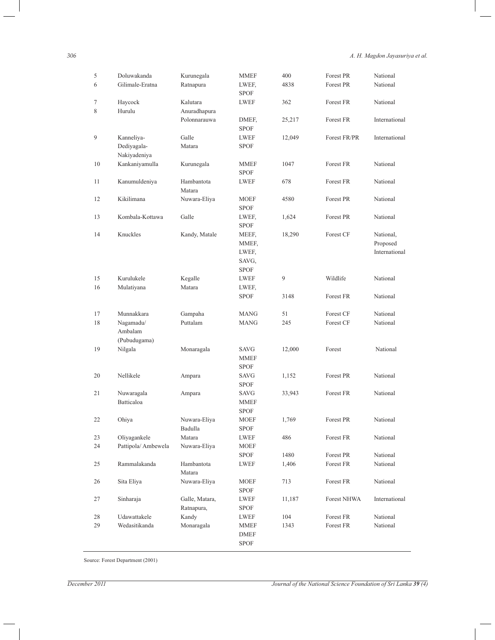*306 A. H. Magdon Jayasuriya et al.*

| 5      | Doluwakanda        | Kurunegala     | <b>MMEF</b>                | 400    | Forest PR          | National                  |
|--------|--------------------|----------------|----------------------------|--------|--------------------|---------------------------|
| 6      | Gilimale-Eratna    | Ratnapura      | LWEF,                      | 4838   | Forest PR          | National                  |
|        |                    |                | <b>SPOF</b>                |        |                    |                           |
| $\tau$ | Haycock            | Kalutara       | <b>LWEF</b>                | 362    | Forest FR          | National                  |
| 8      | Hurulu             | Anuradhapura   |                            |        |                    |                           |
|        |                    | Polonnarauwa   | DMEF,                      | 25,217 | Forest FR          | International             |
|        |                    |                | <b>SPOF</b>                |        |                    |                           |
| 9      | Kanneliya-         | Galle          | LWEF                       | 12,049 | Forest FR/PR       | International             |
|        | Dediyagala-        | Matara         | <b>SPOF</b>                |        |                    |                           |
|        | Nakiyadeniya       |                |                            |        |                    |                           |
| 10     | Kankaniyamulla     | Kurunegala     | <b>MMEF</b>                | 1047   | Forest FR          | National                  |
|        |                    |                | <b>SPOF</b>                |        |                    |                           |
| 11     | Kanumuldeniya      | Hambantota     | <b>LWEF</b>                | 678    | Forest FR          | National                  |
|        |                    | Matara         |                            |        |                    |                           |
| 12     | Kikilimana         | Nuwara-Eliya   | <b>MOEF</b>                | 4580   | Forest PR          | National                  |
|        |                    |                | <b>SPOF</b>                |        |                    |                           |
| 13     | Kombala-Kottawa    | Galle          | LWEF,                      | 1,624  | Forest PR          | National                  |
|        |                    |                | <b>SPOF</b>                |        |                    |                           |
| 14     | Knuckles           | Kandy, Matale  | MEEF,                      | 18,290 | Forest CF          | National,                 |
|        |                    |                | MMEF,<br>LWEF,             |        |                    | Proposed<br>International |
|        |                    |                | SAVG,                      |        |                    |                           |
|        |                    |                | <b>SPOF</b>                |        |                    |                           |
| 15     | Kurulukele         | Kegalle        | <b>LWEF</b>                | 9      | Wildlife           | National                  |
| 16     | Mulatiyana         | Matara         | LWEF,                      |        |                    |                           |
|        |                    |                | <b>SPOF</b>                | 3148   | Forest FR          | National                  |
|        |                    |                |                            |        |                    |                           |
| 17     | Munnakkara         | Gampaha        | <b>MANG</b>                | 51     | Forest CF          | National                  |
| 18     | Nagamadu/          | Puttalam       | <b>MANG</b>                | 245    | Forest CF          | National                  |
|        | Ambalam            |                |                            |        |                    |                           |
|        | (Pubudugama)       |                |                            |        |                    |                           |
| 19     | Nilgala            | Monaragala     | SAVG                       | 12,000 | Forest             | National                  |
|        |                    |                | <b>MMEF</b>                |        |                    |                           |
|        |                    |                | <b>SPOF</b>                |        |                    |                           |
| 20     | Nellikele          | Ampara         | <b>SAVG</b>                | 1,152  | Forest PR          | National                  |
|        |                    |                | <b>SPOF</b>                |        |                    |                           |
| 21     | Nuwaragala         | Ampara         | <b>SAVG</b>                | 33,943 | Forest FR          | National                  |
|        | Batticaloa         |                | <b>MMEF</b>                |        |                    |                           |
| 22     |                    | Nuwara-Eliya   | <b>SPOF</b><br><b>MOEF</b> |        | Forest PR          | National                  |
|        | Ohiya              | Badulla        | <b>SPOF</b>                | 1,769  |                    |                           |
| 23     | Oliyagankele       | Matara         | <b>LWEF</b>                | 486    | Forest FR          | National                  |
| 24     | Pattipola/Ambewela | Nuwara-Eliya   | <b>MOEF</b>                |        |                    |                           |
|        |                    |                | <b>SPOF</b>                | 1480   | Forest PR          | National                  |
| 25     | Rammalakanda       | Hambantota     | LWEF                       | 1,406  | Forest FR          | National                  |
|        |                    | Matara         |                            |        |                    |                           |
| 26     | Sita Eliya         | Nuwara-Eliya   | MOEF                       | 713    | Forest FR          | National                  |
|        |                    |                | <b>SPOF</b>                |        |                    |                           |
| 27     | Sinharaja          | Galle, Matara, | LWEF                       | 11,187 | <b>Forest NHWA</b> | International             |
|        |                    | Ratnapura,     | <b>SPOF</b>                |        |                    |                           |
| 28     | Udawattakele       | Kandy          | LWEF                       | 104    | Forest FR          | National                  |
| 29     | Wedasitikanda      | Monaragala     | <b>MMEF</b>                | 1343   | Forest FR          | National                  |
|        |                    |                | <b>DMEF</b>                |        |                    |                           |
|        |                    |                | ${\tt SPOF}$               |        |                    |                           |

Source: Forest Department (2001)

 $\overline{\phantom{0}}$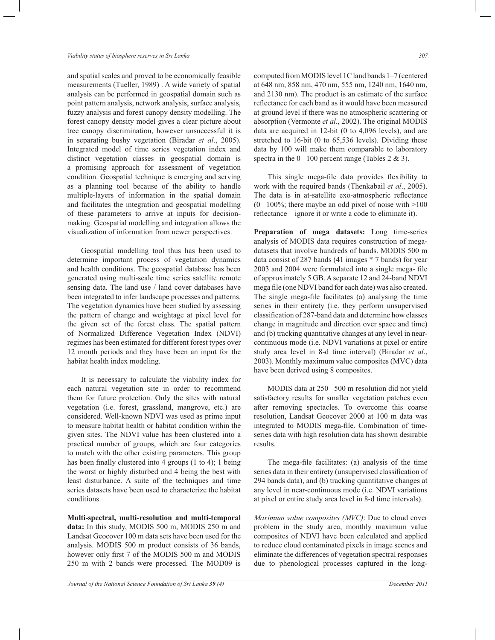and spatial scales and proved to be economically feasible measurements (Tueller, 1989) . A wide variety of spatial analysis can be performed in geospatial domain such as point pattern analysis, network analysis, surface analysis, fuzzy analysis and forest canopy density modelling. The forest canopy density model gives a clear picture about tree canopy discrimination, however unsuccessful it is in separating bushy vegetation (Biradar *et al*., 2005). Integrated model of time series vegetation index and distinct vegetation classes in geospatial domain is a promising approach for assessment of vegetation condition. Geospatial technique is emerging and serving as a planning tool because of the ability to handle multiple-layers of information in the spatial domain and facilitates the integration and geospatial modelling of these parameters to arrive at inputs for decisionmaking. Geospatial modelling and integration allows the visualization of information from newer perspectives.

 Geospatial modelling tool thus has been used to determine important process of vegetation dynamics and health conditions. The geospatial database has been generated using multi-scale time series satellite remote sensing data. The land use / land cover databases have been integrated to infer landscape processes and patterns. The vegetation dynamics have been studied by assessing the pattern of change and weightage at pixel level for the given set of the forest class. The spatial pattern of Normalized Difference Vegetation Index (NDVI) regimes has been estimated for different forest types over 12 month periods and they have been an input for the habitat health index modeling.

 It is necessary to calculate the viability index for each natural vegetation site in order to recommend them for future protection. Only the sites with natural vegetation (i.e. forest, grassland, mangrove, etc.) are considered. Well-known NDVI was used as prime input to measure habitat health or habitat condition within the given sites. The NDVI value has been clustered into a practical number of groups, which are four categories to match with the other existing parameters. This group has been finally clustered into 4 groups (1 to 4); 1 being the worst or highly disturbed and 4 being the best with least disturbance. A suite of the techniques and time series datasets have been used to characterize the habitat conditions.

**Multi-spectral, multi-resolution and multi-temporal data:** In this study, MODIS 500 m, MODIS 250 m and Landsat Geocover 100 m data sets have been used for the analysis. MODIS 500 m product consists of 36 bands, however only first 7 of the MODIS 500 m and MODIS 250 m with 2 bands were processed. The MOD09 is

computed from MODIS level 1C land bands 1–7 (centered at 648 nm, 858 nm, 470 nm, 555 nm, 1240 nm, 1640 nm, and 2130 nm). The product is an estimate of the surface reflectance for each band as it would have been measured at ground level if there was no atmospheric scattering or absorption (Vermonte *et al*., 2002). The original MODIS data are acquired in 12-bit (0 to 4,096 levels), and are stretched to 16-bit (0 to 65,536 levels). Dividing these data by 100 will make them comparable to laboratory spectra in the  $0 - 100$  percent range (Tables 2 & 3).

 This single mega-file data provides flexibility to work with the required bands (Thenkabail *et al*., 2005). The data is in at-satellite exo-atmospheric reflectance  $(0 -100\%$ ; there maybe an odd pixel of noise with  $>100$ reflectance – ignore it or write a code to eliminate it).

**Preparation of mega datasets:** Long time-series analysis of MODIS data requires construction of megadatasets that involve hundreds of bands. MODIS 500 m data consist of 287 bands (41 images \* 7 bands) for year 2003 and 2004 were formulated into a single mega- file of approximately 5 GB. A separate 12 and 24-band NDVI mega file (one NDVI band for each date) was also created. The single mega-file facilitates (a) analysing the time series in their entirety (i.e. they perform unsupervised classification of 287-band data and determine how classes change in magnitude and direction over space and time) and (b) tracking quantitative changes at any level in nearcontinuous mode (i.e. NDVI variations at pixel or entire study area level in 8-d time interval) (Biradar *et al*., 2003). Monthly maximum value composites (MVC) data have been derived using 8 composites.

 MODIS data at 250 –500 m resolution did not yield satisfactory results for smaller vegetation patches even after removing spectacles. To overcome this coarse resolution, Landsat Geocover 2000 at 100 m data was integrated to MODIS mega-file. Combination of timeseries data with high resolution data has shown desirable results.

 The mega-file facilitates: (a) analysis of the time series data in their entirety (unsupervised classification of 294 bands data), and (b) tracking quantitative changes at any level in near-continuous mode (i.e. NDVI variations at pixel or entire study area level in 8-d time intervals).

*Maximum value composites (MVC)*: Due to cloud cover problem in the study area, monthly maximum value composites of NDVI have been calculated and applied to reduce cloud contaminated pixels in image scenes and eliminate the differences of vegetation spectral responses due to phenological processes captured in the long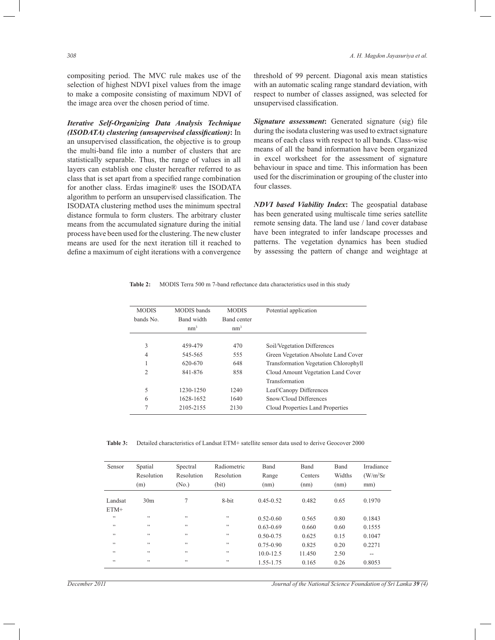compositing period. The MVC rule makes use of the selection of highest NDVI pixel values from the image to make a composite consisting of maximum NDVI of the image area over the chosen period of time.

*Iterative Self-Organizing Data Analysis Technique (ISODATA) clustering (unsupervised classification)***:** In an unsupervised classification, the objective is to group the multi-band file into a number of clusters that are statistically separable. Thus, the range of values in all layers can establish one cluster hereafter referred to as class that is set apart from a specified range combination for another class. Erdas imagine® uses the ISODATA algorithm to perform an unsupervised classification. The ISODATA clustering method uses the minimum spectral distance formula to form clusters. The arbitrary cluster means from the accumulated signature during the initial process have been used for the clustering. The new cluster means are used for the next iteration till it reached to define a maximum of eight iterations with a convergence

threshold of 99 percent. Diagonal axis mean statistics with an automatic scaling range standard deviation, with respect to number of classes assigned, was selected for unsupervised classification.

*Signature assessment***:** Generated signature (sig) file during the isodata clustering was used to extract signature means of each class with respect to all bands. Class-wise means of all the band information have been organized in excel worksheet for the assessment of signature behaviour in space and time. This information has been used for the discrimination or grouping of the cluster into four classes.

*NDVI based Viability Index***:** The geospatial database has been generated using multiscale time series satellite remote sensing data. The land use / land cover database have been integrated to infer landscape processes and patterns. The vegetation dynamics has been studied by assessing the pattern of change and weightage at

**Table 2:** MODIS Terra 500 m 7-band reflectance data characteristics used in this study

| <b>MODIS</b>   | <b>MODIS</b> bands | <b>MODIS</b>    | Potential application                        |
|----------------|--------------------|-----------------|----------------------------------------------|
| bands No.      | Band width         | Band center     |                                              |
|                | nm <sup>3</sup>    | nm <sup>3</sup> |                                              |
|                |                    |                 |                                              |
| 3              | 459-479            | 470             | Soil/Vegetation Differences                  |
| 4              | 545-565            | 555             | Green Vegetation Absolute Land Cover         |
|                | 620-670            | 648             | <b>Transformation Vegetation Chlorophyll</b> |
| $\overline{c}$ | 841-876            | 858             | Cloud Amount Vegetation Land Cover           |
|                |                    |                 | Transformation                               |
| 5              | 1230-1250          | 1240            | Leaf/Canopy Differences                      |
| 6              | 1628-1652          | 1640            | Snow/Cloud Differences                       |
| 7              | 2105-2155          | 2130            | Cloud Properties Land Properties             |
|                |                    |                 |                                              |

**Table 3:** Detailed characteristics of Landsat ETM+ satellite sensor data used to derive Geocover 2000

| Sensor            | Spatial<br>Resolution<br>(m) | Spectral<br>Resolution<br>(N <sub>0</sub> ) | Radiometric<br>Resolution<br>(bit) | Band<br>Range<br>(nm) | Band<br>Centers<br>(nm) | Band<br>Widths<br>(nm) | Irradiance<br>(W/m <sup>2</sup> Sr)<br>mm) |
|-------------------|------------------------------|---------------------------------------------|------------------------------------|-----------------------|-------------------------|------------------------|--------------------------------------------|
| Landsat<br>$ETM+$ | 30 <sub>m</sub>              | $\overline{7}$                              | 8-bit                              | $0.45 - 0.52$         | 0.482                   | 0.65                   | 0.1970                                     |
| , ,               | , ,                          | ,                                           | , ,                                | $0.52 - 0.60$         | 0.565                   | 0.80                   | 0.1843                                     |
| , ,               | , ,                          | , ,                                         | , ,                                | $0.63 - 0.69$         | 0.660                   | 0.60                   | 0.1555                                     |
| , ,               | , ,                          | , ,                                         | , ,                                | $0.50 - 0.75$         | 0.625                   | 0.15                   | 0.1047                                     |
| , ,               | , ,                          | ,                                           | , ,                                | $0.75 - 0.90$         | 0.825                   | 0.20                   | 0.2271                                     |
| , ,               | , ,                          | , ,                                         | , ,                                | $10.0 - 12.5$         | 11.450                  | 2.50                   | $- -$                                      |
| , ,               | , ,                          | , ,                                         | , ,                                | 1.55-1.75             | 0.165                   | 0.26                   | 0.8053                                     |

*December 2011 Journal of the National Science Foundation of Sri Lanka 39 (4)*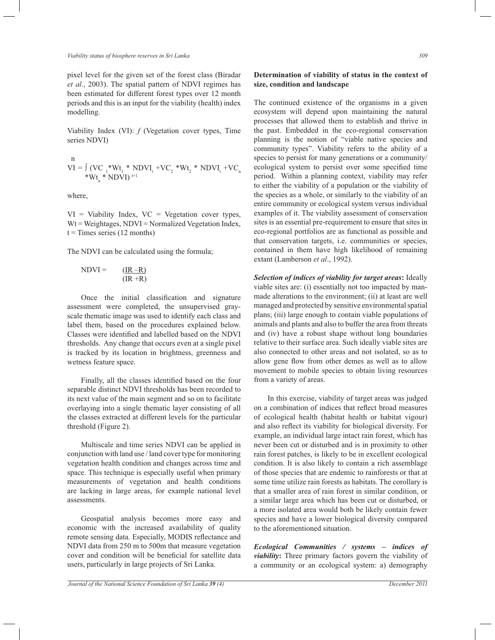*Viability status of biosphere reserves in Sri Lanka 309*

pixel level for the given set of the forest class (Biradar *et al*., 2003). The spatial pattern of NDVI regimes has been estimated for different forest types over 12 month periods and this is an input for the viability (health) index modelling.

Viability Index (VI): *f* (Vegetation cover types, Time series NDVI)

n  
\nVI = 
$$
\int_{A} (VC_{1} * Wt_{1} * NDVI_{t} + VC_{2} * Wt_{2} * NDVI_{t} + VC_{n} * NDVI)
$$
<sup>t=1</sup>

where,

 $VI = Viability Index, VC = Vegetation cover types,$  $Wt = Weightages$ , NDVI = Normalized Vegetation Index,  $t =$ Times series (12 months)

The NDVI can be calculated using the formula;

$$
NDVI = \frac{(IR - R)}{(IR + R)}
$$

 Once the initial classification and signature assessment were completed, the unsupervised grayscale thematic image was used to identify each class and label them, based on the procedures explained below. Classes were identified and labelled based on the NDVI thresholds. Any change that occurs even at a single pixel is tracked by its location in brightness, greenness and wetness feature space.

 Finally, all the classes identified based on the four separable distinct NDVI thresholds has been recorded to its next value of the main segment and so on to facilitate overlaying into a single thematic layer consisting of all the classes extracted at different levels for the particular threshold (Figure 2).

 Multiscale and time series NDVI can be applied in conjunction with land use / land cover type for monitoring vegetation health condition and changes across time and space. This technique is especially useful when primary measurements of vegetation and health conditions are lacking in large areas, for example national level assessments.

 Geospatial analysis becomes more easy and economic with the increased availability of quality remote sensing data. Especially, MODIS reflectance and NDVI data from 250 m to 500m that measure vegetation cover and condition will be beneficial for satellite data users, particularly in large projects of Sri Lanka.

# **Determination of viability of status in the context of size, condition and landscape**

The continued existence of the organisms in a given ecosystem will depend upon maintaining the natural processes that allowed them to establish and thrive in the past. Embedded in the eco-regional conservation planning is the notion of "viable native species and community types". Viability refers to the ability of a species to persist for many generations or a community/ ecological system to persist over some specified time period. Within a planning context, viability may refer to either the viability of a population or the viability of the species as a whole, or similarly to the viability of an entire community or ecological system versus individual examples of it. The viability assessment of conservation sites is an essential pre-requirement to ensure that sites in eco-regional portfolios are as functional as possible and that conservation targets, i.e. communities or species, contained in them have high likelihood of remaining extant (Lamberson *et al*., 1992).

*Selection of indices of viability for target areas***:** Ideally viable sites are: (i) essentially not too impacted by manmade alterations to the environment; (ii) at least are well managed and protected by sensitive environmental spatial plans; (iii) large enough to contain viable populations of animals and plants and also to buffer the area from threats and (iv) have a robust shape without long boundaries relative to their surface area. Such ideally viable sites are also connected to other areas and not isolated, so as to allow gene flow from other demes as well as to allow movement to mobile species to obtain living resources from a variety of areas.

 In this exercise, viability of target areas was judged on a combination of indices that reflect broad measures of ecological health (habitat health or habitat vigour) and also reflect its viability for biological diversity. For example, an individual large intact rain forest, which has never been cut or disturbed and is in proximity to other rain forest patches, is likely to be in excellent ecological condition. It is also likely to contain a rich assemblage of those species that are endemic to rainforests or that at some time utilize rain forests as habitats. The corollary is that a smaller area of rain forest in similar condition, or a similar large area which has been cut or disturbed, or a more isolated area would both be likely contain fewer species and have a lower biological diversity compared to the aforementioned situation.

*Ecological Communities / systems – indices of viability***:** Three primary factors govern the viability of a community or an ecological system: a) demography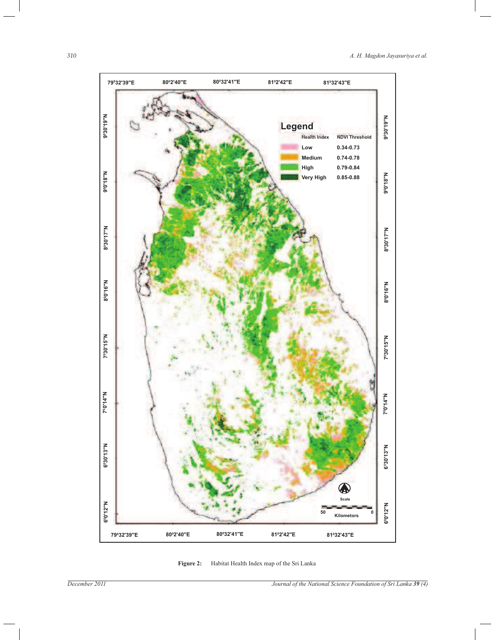

**Figure 2:** Habitat Health Index map of the Sri Lanka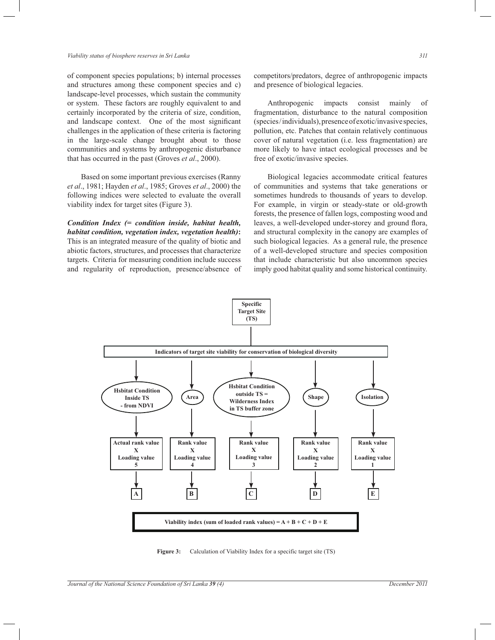of component species populations; b) internal processes and structures among these component species and c) landscape-level processes, which sustain the community or system. These factors are roughly equivalent to and certainly incorporated by the criteria of size, condition, and landscape context. One of the most significant challenges in the application of these criteria is factoring in the large-scale change brought about to those communities and systems by anthropogenic disturbance that has occurred in the past (Groves *et al*., 2000).

 Based on some important previous exercises (Ranny *et al*., 1981; Hayden *et al*., 1985; Groves *et al*., 2000) the following indices were selected to evaluate the overall viability index for target sites (Figure 3).

*Condition Index (= condition inside, habitat health, habitat condition, vegetation index, vegetation health)***:**  This is an integrated measure of the quality of biotic and abiotic factors, structures, and processes that characterize targets. Criteria for measuring condition include success and regularity of reproduction, presence/absence of

 Anthropogenic impacts consist mainly of fragmentation, disturbance to the natural composition (species / individuals), presence of exotic/invasive species, pollution, etc. Patches that contain relatively continuous cover of natural vegetation (i.e. less fragmentation) are more likely to have intact ecological processes and be free of exotic/invasive species.

 Biological legacies accommodate critical features of communities and systems that take generations or sometimes hundreds to thousands of years to develop. For example, in virgin or steady-state or old-growth forests, the presence of fallen logs, composting wood and leaves, a well-developed under-storey and ground flora, and structural complexity in the canopy are examples of such biological legacies. As a general rule, the presence of a well-developed structure and species composition that include characteristic but also uncommon species imply good habitat quality and some historical continuity.



**Figure 3:** Calculation of Viability Index for a specific target site (TS)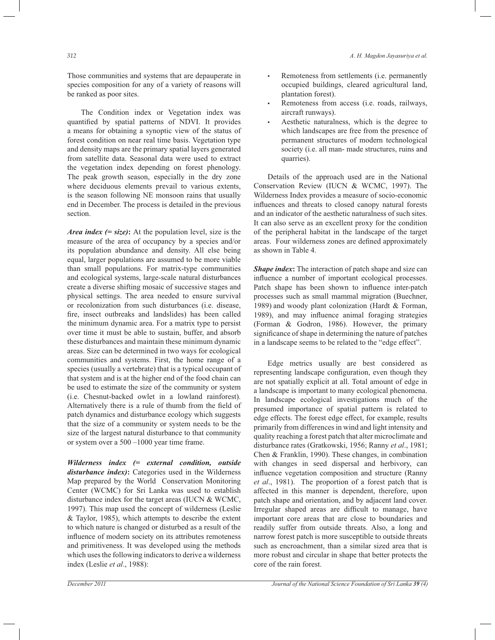Those communities and systems that are depauperate in species composition for any of a variety of reasons will be ranked as poor sites.

 The Condition index or Vegetation index was quantified by spatial patterns of NDVI. It provides a means for obtaining a synoptic view of the status of forest condition on near real time basis. Vegetation type and density maps are the primary spatial layers generated from satellite data. Seasonal data were used to extract the vegetation index depending on forest phenology. The peak growth season, especially in the dry zone where deciduous elements prevail to various extents, is the season following NE monsoon rains that usually end in December. The process is detailed in the previous section.

*Area index (= size)***:** At the population level, size is the measure of the area of occupancy by a species and/or its population abundance and density. All else being equal, larger populations are assumed to be more viable than small populations. For matrix-type communities and ecological systems, large-scale natural disturbances create a diverse shifting mosaic of successive stages and physical settings. The area needed to ensure survival or recolonization from such disturbances (i.e. disease, fire, insect outbreaks and landslides) has been called the minimum dynamic area. For a matrix type to persist over time it must be able to sustain, buffer, and absorb these disturbances and maintain these minimum dynamic areas. Size can be determined in two ways for ecological communities and systems. First, the home range of a species (usually a vertebrate) that is a typical occupant of that system and is at the higher end of the food chain can be used to estimate the size of the community or system (i.e. Chesnut-backed owlet in a lowland rainforest). Alternatively there is a rule of thumb from the field of patch dynamics and disturbance ecology which suggests that the size of a community or system needs to be the size of the largest natural disturbance to that community or system over a 500 –1000 year time frame.

*Wilderness index (= external condition, outside disturbance index)***:** Categories used in the Wilderness Map prepared by the World Conservation Monitoring Center (WCMC) for Sri Lanka was used to establish disturbance index for the target areas (IUCN & WCMC, 1997). This map used the concept of wilderness (Leslie & Taylor, 1985), which attempts to describe the extent to which nature is changed or disturbed as a result of the influence of modern society on its attributes remoteness and primitiveness. It was developed using the methods which uses the following indicators to derive a wilderness index (Leslie *et al*., 1988):

- Remoteness from settlements (i.e. permanently occupied buildings, cleared agricultural land, plantation forest).
- Remoteness from access (i.e. roads, railways, aircraft runways).
- Aesthetic naturalness, which is the degree to which landscapes are free from the presence of permanent structures of modern technological society (i.e. all man- made structures, ruins and quarries).

 Details of the approach used are in the National Conservation Review (IUCN & WCMC, 1997). The Wilderness Index provides a measure of socio-economic influences and threats to closed canopy natural forests and an indicator of the aesthetic naturalness of such sites. It can also serve as an excellent proxy for the condition of the peripheral habitat in the landscape of the target areas. Four wilderness zones are defined approximately as shown in Table 4.

*Shape index*: The interaction of patch shape and size can influence a number of important ecological processes. Patch shape has been shown to influence inter-patch processes such as small mammal migration (Buechner, 1989) and woody plant colonization (Hardt & Forman, 1989), and may influence animal foraging strategies (Forman & Godron, 1986). However, the primary significance of shape in determining the nature of patches in a landscape seems to be related to the "edge effect".

 Edge metrics usually are best considered as representing landscape configuration, even though they are not spatially explicit at all. Total amount of edge in a landscape is important to many ecological phenomena. In landscape ecological investigations much of the presumed importance of spatial pattern is related to edge effects. The forest edge effect, for example, results primarily from differences in wind and light intensity and quality reaching a forest patch that alter microclimate and disturbance rates (Gratkowski, 1956; Ranny *et al*., 1981; Chen & Franklin, 1990). These changes, in combination with changes in seed dispersal and herbivory, can influence vegetation composition and structure (Ranny *et al*., 1981). The proportion of a forest patch that is affected in this manner is dependent, therefore, upon patch shape and orientation, and by adjacent land cover. Irregular shaped areas are difficult to manage, have important core areas that are close to boundaries and readily suffer from outside threats. Also, a long and narrow forest patch is more susceptible to outside threats such as encroachment, than a similar sized area that is more robust and circular in shape that better protects the core of the rain forest.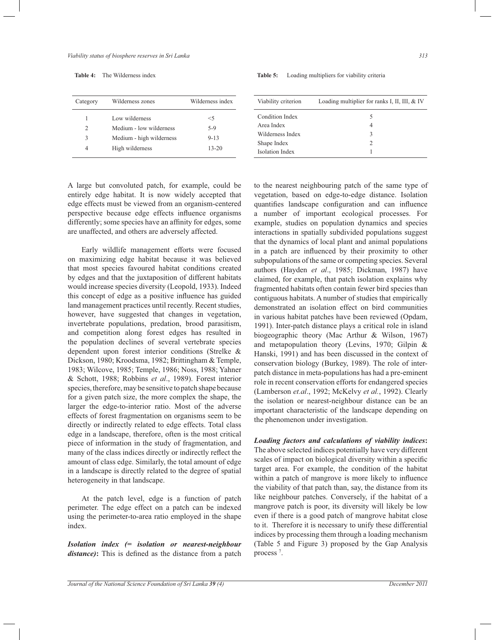**Table 4:** The Wilderness index

| Category | Wilderness zones         | Wilderness index |
|----------|--------------------------|------------------|
| 1        | Low wilderness           | $<$ 5            |
| 2        | Medium - low wilderness  | 5-9              |
| 3        | Medium - high wilderness | $9 - 13$         |
| 4        | High wilderness          | $13 - 20$        |

#### **Table 5:** Loading multipliers for viability criteria

| Viability criterion    | Loading multiplier for ranks I, II, III, & IV |
|------------------------|-----------------------------------------------|
| Condition Index        |                                               |
| Area Index             | 4                                             |
| Wilderness Index       | 3                                             |
| Shape Index            |                                               |
| <b>Isolation Index</b> |                                               |

A large but convoluted patch, for example, could be entirely edge habitat. It is now widely accepted that edge effects must be viewed from an organism-centered perspective because edge effects influence organisms differently; some species have an affinity for edges, some are unaffected, and others are adversely affected.

 Early wildlife management efforts were focused on maximizing edge habitat because it was believed that most species favoured habitat conditions created by edges and that the juxtaposition of different habitats would increase species diversity (Leopold, 1933). Indeed this concept of edge as a positive influence has guided land management practices until recently. Recent studies, however, have suggested that changes in vegetation, invertebrate populations, predation, brood parasitism, and competition along forest edges has resulted in the population declines of several vertebrate species dependent upon forest interior conditions (Strelke & Dickson, 1980; Kroodsma, 1982; Brittingham & Temple, 1983; Wilcove, 1985; Temple, 1986; Noss, 1988; Yahner & Schott, 1988; Robbins *et al*., 1989). Forest interior species, therefore, may be sensitive to patch shape because for a given patch size, the more complex the shape, the larger the edge-to-interior ratio. Most of the adverse effects of forest fragmentation on organisms seem to be directly or indirectly related to edge effects. Total class edge in a landscape, therefore, often is the most critical piece of information in the study of fragmentation, and many of the class indices directly or indirectly reflect the amount of class edge. Similarly, the total amount of edge in a landscape is directly related to the degree of spatial heterogeneity in that landscape.

 At the patch level, edge is a function of patch perimeter. The edge effect on a patch can be indexed using the perimeter-to-area ratio employed in the shape index.

*Isolation index (= isolation or nearest-neighbour distance)***:** This is defined as the distance from a patch to the nearest neighbouring patch of the same type of vegetation, based on edge-to-edge distance. Isolation quantifies landscape configuration and can influence a number of important ecological processes. For example, studies on population dynamics and species interactions in spatially subdivided populations suggest that the dynamics of local plant and animal populations in a patch are influenced by their proximity to other subpopulations of the same or competing species. Several authors (Hayden *et al*., 1985; Dickman, 1987) have claimed, for example, that patch isolation explains why fragmented habitats often contain fewer bird species than contiguous habitats. A number of studies that empirically demonstrated an isolation effect on bird communities in various habitat patches have been reviewed (Opdam, 1991). Inter-patch distance plays a critical role in island biogeographic theory (Mac Arthur & Wilson, 1967) and metapopulation theory (Levins, 1970; Gilpin & Hanski, 1991) and has been discussed in the context of conservation biology (Burkey, 1989). The role of interpatch distance in meta-populations has had a pre-eminent role in recent conservation efforts for endangered species (Lamberson *et.al*., 1992; McKelvy *et al.*, 1992). Clearly the isolation or nearest-neighbour distance can be an important characteristic of the landscape depending on the phenomenon under investigation.

*Loading factors and calculations of viability indices***:** The above selected indices potentially have very different scales of impact on biological diversity within a specific target area. For example, the condition of the habitat within a patch of mangrove is more likely to influence the viability of that patch than, say, the distance from its like neighbour patches. Conversely, if the habitat of a mangrove patch is poor, its diversity will likely be low even if there is a good patch of mangrove habitat close to it. Therefore it is necessary to unify these differential indices by processing them through a loading mechanism (Table 5 and Figure 3) proposed by the Gap Analysis process<sup>7</sup>.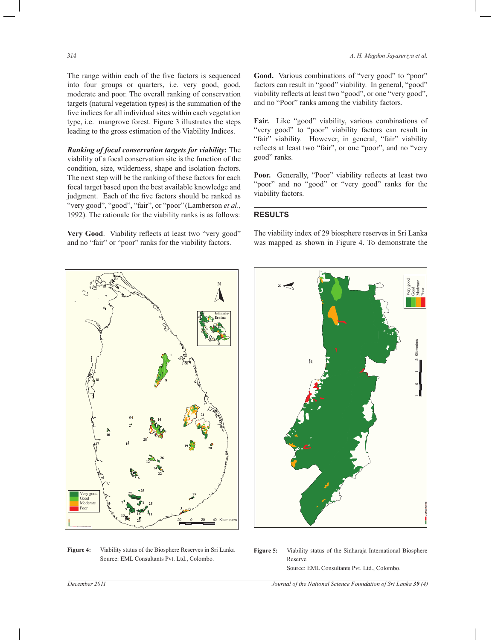The range within each of the five factors is sequenced into four groups or quarters, i.e. very good, good, moderate and poor. The overall ranking of conservation targets (natural vegetation types) is the summation of the five indices for all individual sites within each vegetation type, i.e. mangrove forest. Figure 3 illustrates the steps leading to the gross estimation of the Viability Indices.

*Ranking of focal conservation targets for viability***:** The viability of a focal conservation site is the function of the condition, size, wilderness, shape and isolation factors. The next step will be the ranking of these factors for each focal target based upon the best available knowledge and judgment. Each of the five factors should be ranked as "very good", "good", "fair", or "poor" (Lamberson *et al*., 1992). The rationale for the viability ranks is as follows:

**Very Good**. Viability reflects at least two "very good" and no "fair" or "poor" ranks for the viability factors.

*314 A. H. Magdon Jayasuriya et al.*

Good. Various combinations of "very good" to "poor" factors can result in "good" viability. In general, "good" viability reflects at least two "good", or one "very good", and no "Poor" ranks among the viability factors.

**Fair.** Like "good" viability, various combinations of "very good" to "poor" viability factors can result in "fair" viability. However, in general, "fair" viability reflects at least two "fair", or one "poor", and no "very good" ranks.

Poor. Generally, "Poor" viability reflects at least two "poor" and no "good" or "very good" ranks for the viability factors.

### **RESULTS**

The viability index of 29 biosphere reserves in Sri Lanka was mapped as shown in Figure 4. To demonstrate the



**Figure 4:** Viability status of the Biosphere Reserves in Sri Lanka Source: EML Consultants Pvt. Ltd., Colombo.

**Figure 5:** Viability status of the Sinharaja International Biosphere Reserve Source: EML Consultants Pvt. Ltd., Colombo.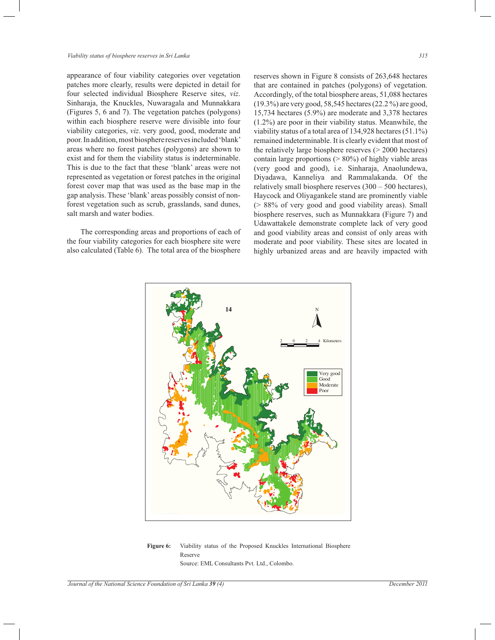appearance of four viability categories over vegetation patches more clearly, results were depicted in detail for four selected individual Biosphere Reserve sites, *viz*. Sinharaja, the Knuckles, Nuwaragala and Munnakkara (Figures 5, 6 and 7). The vegetation patches (polygons) within each biosphere reserve were divisible into four viability categories, *viz*. very good, good, moderate and poor. In addition, most biosphere reserves included 'blank' areas where no forest patches (polygons) are shown to exist and for them the viability status is indeterminable. This is due to the fact that these 'blank' areas were not represented as vegetation or forest patches in the original forest cover map that was used as the base map in the gap analysis. These 'blank' areas possibly consist of nonforest vegetation such as scrub, grasslands, sand dunes, salt marsh and water bodies.

 The corresponding areas and proportions of each of the four viability categories for each biosphere site were also calculated (Table 6). The total area of the biosphere

reserves shown in Figure 8 consists of 263,648 hectares that are contained in patches (polygons) of vegetation. Accordingly, of the total biosphere areas, 51,088 hectares (19.3%) are very good, 58,545 hectares (22.2 %) are good, 15,734 hectares (5.9%) are moderate and 3,378 hectares (1.2%) are poor in their viability status. Meanwhile, the viability status of a total area of 134,928 hectares (51.1%) remained indeterminable. It is clearly evident that most of the relatively large biosphere reserves (> 2000 hectares) contain large proportions (> 80%) of highly viable areas (very good and good), i.e. Sinharaja, Anaolundewa, Diyadawa, Kanneliya and Rammalakanda. Of the relatively small biosphere reserves (300 – 500 hectares), Haycock and Oliyagankele stand are prominently viable (> 88% of very good and good viability areas). Small biosphere reserves, such as Munnakkara (Figure 7) and Udawattakele demonstrate complete lack of very good and good viability areas and consist of only areas with moderate and poor viability. These sites are located in highly urbanized areas and are heavily impacted with



**Figure 6:** Viability status of the Proposed Knuckles International Biosphere Reserve Source: EML Consultants Pvt. Ltd., Colombo.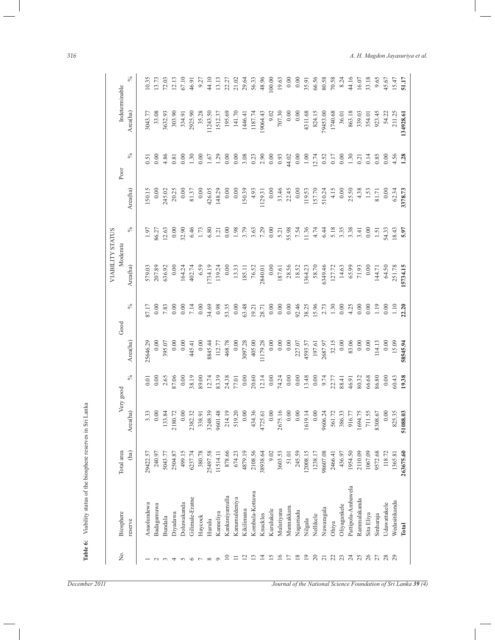|                 |                    |            |          |           |          |       | <b>VIABILITY STATUS</b> |       |          |       |                |        |
|-----------------|--------------------|------------|----------|-----------|----------|-------|-------------------------|-------|----------|-------|----------------|--------|
| Σó,             | Biosphere          | Total area |          | Very good |          | Good  | Moderate                |       |          | Poor  | Indeterminable |        |
|                 | reserve            | (ha)       | Area(ha) | $\%$      | Area(ha) | $\%$  | Area(ha)                | $\%$  | Area(ha) | $\%$  | Area(ha)       | $\%$   |
|                 | Anaolundewa        | 29422.57   | 3.33     | 0.01      | 25646.29 | 87.17 | 579.03                  | 1.97  | 150.15   | 0.51  | 3043.77        | 10.35  |
|                 | Badagamuwa         | 240.97     | 0.00     | 0.00      | 0.00     | 0.00  | 207.89                  | 86.27 | 0.00     | 0.00  | 33.08          | 13.73  |
|                 | Bundala            | 5043.77    | 133.84   | 2.65      | 395.07   | 7.83  | 636.92                  | 12.63 | 245.02   | 4.86  | 3632.93        | 72.03  |
| 4               | Diyadawa           | 2504.87    | 2180.72  | 87.06     | 0.00     | 0.00  | 0.00                    | 0.00  | 20.25    | 0.81  | 303.90         | 12.13  |
|                 | Doluwakanda        | 499.15     | 0.00     | 0.00      | 0.00     | 0.00  | 164.24                  | 32.90 | 0.00     | 0.00  | 334.91         | 67.10  |
| $\circ$         | Gilimale-Eratne    | 6237.74    | 2382.32  | 38.19     | 445.41   | 7.14  | 402.74                  | 6.46  | 81.37    | 1.30  | 2925.90        | 46.91  |
|                 | Haycock            | 380.78     | 338.91   | 89.00     | 0.00     | 0.00  | 6.59                    | 1.73  | $0.00\,$ | 0.00  | 35.28          | 9.27   |
|                 | Hurulu             | 25497.58   | 3248.39  | 12.74     | 8845.44  | 34.69 | 1734.19                 | 6.80  | 426.05   | 1.67  | 1243.50        | 44.10  |
| $\circ$         | Kanneliya          | 11514.11   | 9601.48  | 83.39     | 112.77   | 0.98  | 139.24                  | 1.21  | 148.29   | 1.29  | 1512.37        | 13.13  |
| $\approx$       | Kankaniyamulla     | 878.66     | 214.19   | 24.38     | 468.78   | 53.35 | 0.00                    | 0.00  | $0.00\,$ | 0.00  | 195.69         | 22.27  |
| $\equiv$        | Kanumuldeniya      | 674.23     | 519.20   | 77.01     | $0.00$   | 0.00  | 13.33                   | 1.98  | $0.00\,$ | 0.00  | 141.70         | 21.02  |
| $\overline{z}$  | Kikilimana         | 4879.19    | $0.00\,$ | $0.00\,$  | 3097.28  | 63.48 | 185.11                  | 3.79  | 150.39   | 3.08  | 1446.41        | 29.64  |
| $\mathbf{L}$    | Kombala-Kottawa    | 2108.56    | 434.36   | 20.60     | 405.00   | 19.21 | 76.52                   | 3.63  | 4.93     | 0.23  | 1187.74        | 56.33  |
| $\overline{4}$  | Knuckles           | 38938.64   | 4725.61  | 12.14     | 11179.28 | 28.71 | 2840.01                 | 7.29  | 1129.31  | 2.90  | 19064.43       | 48.96  |
| $\overline{15}$ | Kurulukele         | 9.02       | $0.00\,$ | 0.00      | $0.00\,$ | 0.00  | $0.00$                  | 0.00  | 0.00     | 0.00  | 9.02           | 100.00 |
| 16              | Mulatiyana         | 3603.53    | 2675.16  | 74.24     | $0.00\,$ | 0.00  | 187.61                  | 5.21  | 33.46    | 0.93  | 707.30         | 19.63  |
| $\overline{1}$  | Munnakkara         | 51.01      | $0.00$   | 0.00      | 0.00     | 0.00  | 28.56                   | 55.98 | 22.45    | 44.02 | 0.00           | 0.00   |
| $\overline{18}$ | Nagamadu           | 245.59     | 0.00     | 0.00      | 227.07   | 92.46 | 18.52                   | 7.54  | 0.00     | 0.00  | 0.00           | 0.00   |
| $\overline{19}$ | Nilgala            | 12008.15   | 1619.14  | 13.48     | 4593.57  | 38.25 | 1364.23                 | 11.36 | 119.53   | 1.00  | 4311.68        | 35.91  |
| $\overline{c}$  | Nellikele          | 1238.17    | $0.00\,$ | 0.00      | 197.61   | 15.96 | 58.70                   | 4.74  | 157.70   | 12.74 | 824.15         | 66.56  |
| $\overline{21}$ | Nuwaragala         | 98607.08   | 9606.24  | 9.74      | 2687.97  | 2.73  | 6349.46                 | 6.44  | 510.24   | 0.52  | 79453.00       | 80.58  |
| 22              | Ohiya              | 2466.41    | 561.72   | 22.77     | 32.15    | 1.30  | 127.72                  | 5.18  | 4.15     | 0.17  | 1740.68        | 70.58  |
| 23              | Oliyagankele       | 436.97     | 386.33   | 88.41     | 0.00     | 0.00  | 14.63                   | 3.35  | 0.00     | 0.00  | 36.01          | 8.24   |
| $\overline{c}$  | Pattipola-Ambawela | 1954.50    | 916.77   | 46.91     | 83.06    | 4.25  | 65.99                   | 3.38  | 25.50    | 1.30  | 863.18         | 44.16  |
| 25              | Rammalakanda       | 2110.09    | 1694.75  | 80.32     | 0.00     | 0.00  | 71.93                   | 3.41  | 4.38     | 0.21  | 339.03         | 16.07  |
| 26              | Sita Eliya         | 1067.09    | 711.55   | 66.68     | 0.00     | 0.00  | 0.00                    | 0.00  | 1.53     | 0.14  | 354.01         | 33.18  |
| 27              | Sinharaja          | 9572.68    | 8308.67  | 86.80     | 114.13   | 1.19  | 144.71                  | 1.51  | 81.71    | 0.85  | 923.45         | 9.65   |
| 28              | Udawattakele       | 118.72     | $0.00\,$ | 0.00      | 0.00     | 0.00  | 64.50                   | 54.33 | 0.00     | 0.00  | 54.22          | 45.67  |
| 29              | Wedasitikanda      | 1365.81    | 825.35   | 60.43     | 15.09    | 1.10  | 251.78                  | 18.43 | 62.34    | 4.56  | 211.25         | 15.47  |
|                 | Total              | 263675.60  | 51088.03 | 19.38     | 58545.94 | 22.20 | 15734.15                | 5.97  | 3378.73  | 1.28  | 134928.61      | 51.17  |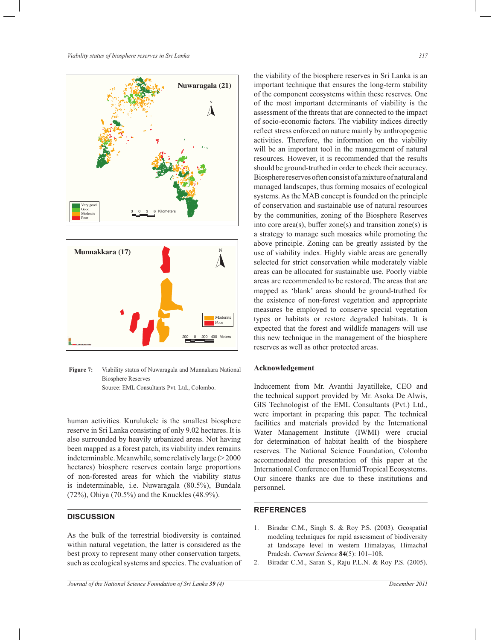*Viability status of biosphere reserves in Sri Lanka 317*





**Figure 7:** Viability status of Nuwaragala and Munnakara National Biosphere Reserves

Source: EML Consultants Pvt. Ltd., Colombo.

human activities. Kurulukele is the smallest biosphere reserve in Sri Lanka consisting of only 9.02 hectares. It is also surrounded by heavily urbanized areas. Not having been mapped as a forest patch, its viability index remains indeterminable. Meanwhile, some relatively large (> 2000 hectares) biosphere reserves contain large proportions of non-forested areas for which the viability status is indeterminable, i.e. Nuwaragala (80.5%), Bundala (72%), Ohiya (70.5%) and the Knuckles (48.9%).

# **DISCUSSION**

As the bulk of the terrestrial biodiversity is contained within natural vegetation, the latter is considered as the best proxy to represent many other conservation targets, such as ecological systems and species. The evaluation of the viability of the biosphere reserves in Sri Lanka is an important technique that ensures the long-term stability of the component ecosystems within these reserves. One of the most important determinants of viability is the assessment of the threats that are connected to the impact of socio-economic factors. The viability indices directly reflect stress enforced on nature mainly by anthropogenic activities. Therefore, the information on the viability will be an important tool in the management of natural resources. However, it is recommended that the results should be ground-truthed in order to check their accuracy. Biosphere reserves often consist of a mixture of natural and managed landscapes, thus forming mosaics of ecological systems. As the MAB concept is founded on the principle of conservation and sustainable use of natural resources by the communities, zoning of the Biosphere Reserves into core  $area(s)$ , buffer zone $(s)$  and transition zone $(s)$  is a strategy to manage such mosaics while promoting the above principle. Zoning can be greatly assisted by the use of viability index. Highly viable areas are generally selected for strict conservation while moderately viable areas can be allocated for sustainable use. Poorly viable areas are recommended to be restored. The areas that are mapped as 'blank' areas should be ground-truthed for the existence of non-forest vegetation and appropriate measures be employed to conserve special vegetation types or habitats or restore degraded habitats. It is expected that the forest and wildlife managers will use this new technique in the management of the biosphere reserves as well as other protected areas.

# **Acknowledgement**

Inducement from Mr. Avanthi Jayatilleke, CEO and the technical support provided by Mr. Asoka De Alwis, GIS Technologist of the EML Consultants (Pvt.) Ltd., were important in preparing this paper. The technical facilities and materials provided by the International Water Management Institute (IWMI) were crucial for determination of habitat health of the biosphere reserves. The National Science Foundation, Colombo accommodated the presentation of this paper at the International Conference on Humid Tropical Ecosystems. Our sincere thanks are due to these institutions and personnel.

### **REFERENCES**

- 1. Biradar C.M., Singh S. & Roy P.S. (2003). Geospatial modeling techniques for rapid assessment of biodiversity at landscape level in western Himalayas, Himachal Pradesh. *Current Science* **84**(5): 101–108.
- 2. Biradar C.M., Saran S., Raju P.L.N. & Roy P.S. (2005).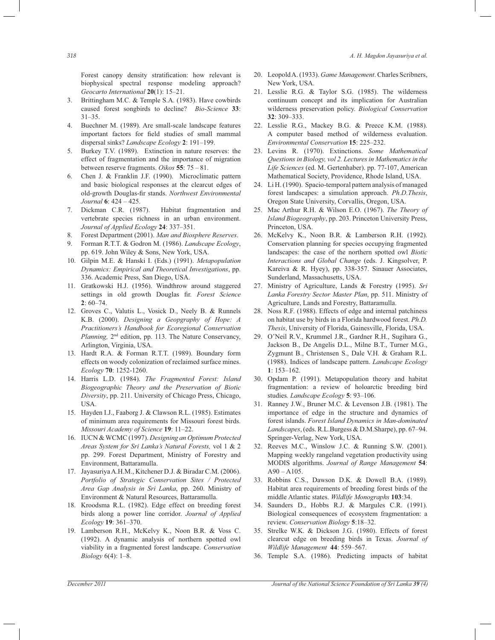*318 A. H. Magdon Jayasuriya et al.*

Forest canopy density stratification: how relevant is biophysical spectral response modeling approach? *Geocarto International* **20**(1): 15–21.

- 3. Brittingham M.C. & Temple S.A. (1983). Have cowbirds caused forest songbirds to decline? *Bio-Science* **33**: 31–35.
- 4. Buechner M. (1989). Are small-scale landscape features important factors for field studies of small mammal dispersal sinks? *Landscape Ecology* **2**: 191–199.
- 5. Burkey T.V. (1989). Extinction in nature reserves: the effect of fragmentation and the importance of migration between reserve fragments. *Oikos* **55**: 75 – 81.
- 6. Chen J. & Franklin J.F. (1990). Microclimatic pattern and basic biological responses at the clearcut edges of old-growth Douglas-fir stands. *Northwest Environmental Journal* **6**: 424 – 425.
- 7. Dickman C.R. (1987). Habitat fragmentation and vertebrate species richness in an urban environment. *Journal of Applied Ecology* **24**: 337–351.
- 8. Forest Department (2001). *Man and Biosphere Reserves*.
- 9. Forman R.T.T. & Godron M. (1986). *Landscape Ecology*, pp. 619. John Wiley & Sons, New York, USA.
- 10. Gilpin M.E. & Hanski I. (Eds.) (1991). *Metapopulation Dynamics: Empirical and Theoretical Investigations*, pp. 336. Academic Press, San Diego, USA.
- 11. Gratkowski H.J. (1956). Windthrow around staggered settings in old growth Douglas fir. *Forest Science* **2**: 60–74.
- 12. Groves C., Valutis L., Vosick D., Neely B. & Runnels K.B. (2000). *Designing a Geopgraphy of Hope: A Practitioners's Handbook for Ecoregional Conservation Planning,* 2nd edition, pp. 113. The Nature Conservancy, Arlington, Virginia, USA.
- 13. Hardt R.A. & Forman R.T.T. (1989). Boundary form effects on woody colonization of reclaimed surface mines. *Ecology* **70**: 1252-1260.
- 14. Harris L.D. (1984). *The Fragmented Forest: Island Biogeographic Theory and the Preservation of Biotic Diversity*, pp. 211. University of Chicago Press, Chicago, USA.
- 15. Hayden I.J., Faaborg J. & Clawson R.L. (1985). Estimates of minimum area requirements for Missouri forest birds. *Missouri Academy of Science* **19**: 11–22.
- 16. IUCN & WCMC (1997). *Designing an Optimum Protected Areas System for Sri Lanka's Natural Forests,* vol 1 & 2 pp. 299. Forest Department, Ministry of Forestry and Environment, Battaramulla.
- 17. Jayasuriya A.H.M., Kitchener D.J. & Biradar C.M. (2006). *Portfolio of Strategic Conservation Sites / Protected Area Gap Analysis in Sri Lanka*, pp. 260. Ministry of Environment & Natural Resources, Battaramulla.
- 18. Kroodsma R.L. (1982). Edge effect on breeding forest birds along a power line corridor. *Journal of Applied Ecology* **19**: 361–370.
- 19. Lamberson R.H., McKelvy K., Noon B.R. & Voss C. (1992). A dynamic analysis of northern spotted owl viability in a fragmented forest landscape. *Conservation Biology* 6(4): 1–8.
- 20. Leopold A. (1933). *Game Management*. Charles Scribners, New York, USA.
- 21. Lesslie R.G. & Taylor S.G. (1985). The wilderness continuum concept and its implication for Australian wilderness preservation policy. *Biological Conservation* **32**: 309–333.
- 22. Lesslie R.G., Mackey B.G. & Preece K.M. (1988). A computer based method of wilderness evaluation. *Environmental Conservation* **15**: 225–232.
- 23. Levins R. (1970). Extinctions. *Some Mathematical Questions in Biology, vol 2. Lectures in Mathematics in the Life Sciences* (ed. M. Gertenhaber). pp. 77-107, American Mathematical Society, Providence, Rhode Island, USA.
- 24. Li H. (1990). Spacio-temporal pattern analysis of managed forest landscapes: a simulation approach. *Ph.D.Thesis*, Oregon State University, Corvallis, Oregon, USA.
- 25. Mac Arthur R.H. & Wilson E.O. (1967). *The Theory of Island Biogeography*, pp. 203. Princeton University Press, Princeton, USA.
- 26. McKelvy K., Noon B.R. & Lamberson R.H. (1992). Conservation planning for species occupying fragmented landscapes: the case of the northern spotted owl *Biotic Interactions and Global Change* (eds. J. Kingsolver, P. Kareiva & R. Hyey), pp. 338-357. Sinauer Associates, Sunderland, Massachusetts, USA.
- 27. Ministry of Agriculture, Lands & Forestry (1995). *Sri Lanka Forestry Sector Master Plan*, pp. 511. Ministry of Agriculture, Lands and Forestry, Battaramulla.
- 28. Noss R.F. (1988). Effects of edge and internal patchiness on habitat use by birds in a Florida hardwood forest. *Ph.D. Thesis*, University of Florida, Gainesville, Florida, USA.
- 29. O'Neil R.V., Krummel J.R., Gardner R.H., Sugihara G., Jackson B., De Angelis D.L., Milne B.T., Turner M.G., Zygmunt B., Christensen S., Dale V.H. & Graham R.L. (1988). Indices of landscape pattern. *Landscape Ecology* **1**: 153–162.
- 30. Opdam P. (1991). Metapopulation theory and habitat fragmentation: a review of holoarctic breeding bird studies*. Landscape Ecology* **5**: 93–106.
- 31. Ranney J.W., Bruner M.C. & Levenson J.B. (1981). The importance of edge in the structure and dynamics of forest islands. *Forest Island Dynamics in Man-dominated Landscapes*, (eds. R.L.Burgess & D.M.Sharpe), pp. 67–94. Springer-Verlag, New York, USA.
- 32. Reeves M.C., Winslow J.C. & Running S.W. (2001). Mapping weekly rangeland vegetation productivity using MODIS algorithms. *Journal of Range Management* **54**:  $A90 - A105.$
- 33. Robbins C.S., Dawson D.K. & Dowell B.A. (1989). Habitat area requirements of breeding forest birds of the middle Atlantic states. *Wildlife Monographs* **103**:34.
- 34. Saunders D., Hobbs R.J. & Margules C.R. (1991). Biological consequences of ecosystem fragmentation: a review. *Conservation Biology* **5**:18–32.
- 35. Strelke W.K. & Dickson J.G. (1980). Effects of forest clearcut edge on breeding birds in Texas. *Journal of Wildlife Management* **44**: 559–567.
- 36. Temple S.A. (1986). Predicting impacts of habitat